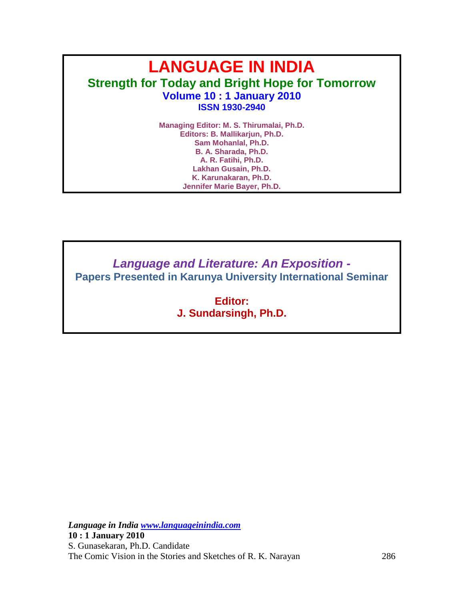# **LANGUAGE IN INDIA Strength for Today and Bright Hope for Tomorrow Volume 10 : 1 January 2010 ISSN 1930-2940**

**Managing Editor: M. S. Thirumalai, Ph.D. Editors: B. Mallikarjun, Ph.D. Sam Mohanlal, Ph.D. B. A. Sharada, Ph.D. A. R. Fatihi, Ph.D. Lakhan Gusain, Ph.D. K. Karunakaran, Ph.D. Jennifer Marie Bayer, Ph.D.**

*Language and Literature: An Exposition -* **Papers Presented in Karunya University International Seminar** 

> **Editor: J. Sundarsingh, Ph.D.**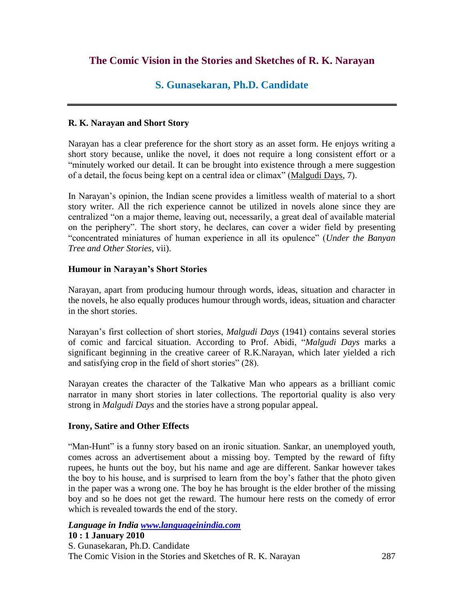# **The Comic Vision in the Stories and Sketches of R. K. Narayan**

# **S. Gunasekaran, Ph.D. Candidate**

### **R. K. Narayan and Short Story**

Narayan has a clear preference for the short story as an asset form. He enjoys writing a short story because, unlike the novel, it does not require a long consistent effort or a "minutely worked our detail. It can be brought into existence through a mere suggestion of a detail, the focus being kept on a central idea or climax" (Malgudi Days, 7).

In Narayan's opinion, the Indian scene provides a limitless wealth of material to a short story writer. All the rich experience cannot be utilized in novels alone since they are centralized "on a major theme, leaving out, necessarily, a great deal of available material on the periphery". The short story, he declares, can cover a wider field by presenting ―concentrated miniatures of human experience in all its opulence‖ (*Under the Banyan Tree and Other Stories*, vii).

### **Humour in Narayan's Short Stories**

Narayan, apart from producing humour through words, ideas, situation and character in the novels, he also equally produces humour through words, ideas, situation and character in the short stories.

Narayan's first collection of short stories, *Malgudi Days* (1941) contains several stories of comic and farcical situation. According to Prof. Abidi, "Malgudi Days marks a significant beginning in the creative career of R.K.Narayan, which later yielded a rich and satisfying crop in the field of short stories" (28).

Narayan creates the character of the Talkative Man who appears as a brilliant comic narrator in many short stories in later collections. The reportorial quality is also very strong in *Malgudi Days* and the stories have a strong popular appeal.

### **Irony, Satire and Other Effects**

―Man-Hunt‖ is a funny story based on an ironic situation. Sankar, an unemployed youth, comes across an advertisement about a missing boy. Tempted by the reward of fifty rupees, he hunts out the boy, but his name and age are different. Sankar however takes the boy to his house, and is surprised to learn from the boy's father that the photo given in the paper was a wrong one. The boy he has brought is the elder brother of the missing boy and so he does not get the reward. The humour here rests on the comedy of error which is revealed towards the end of the story.

### *Language in India www.languageinindia.com* **10 : 1 January 2010**

S. Gunasekaran, Ph.D. Candidate The Comic Vision in the Stories and Sketches of R. K. Narayan 287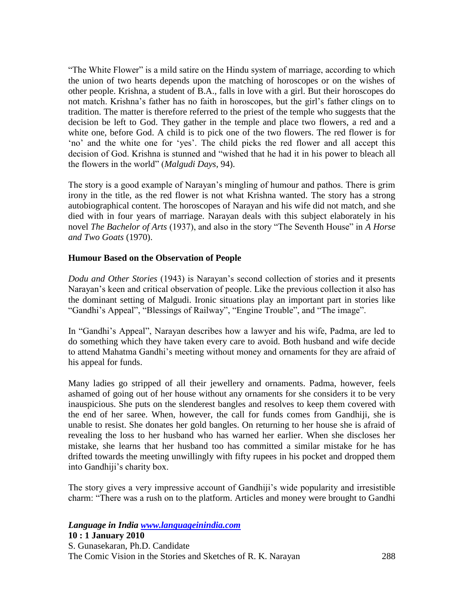"The White Flower" is a mild satire on the Hindu system of marriage, according to which the union of two hearts depends upon the matching of horoscopes or on the wishes of other people. Krishna, a student of B.A., falls in love with a girl. But their horoscopes do not match. Krishna's father has no faith in horoscopes, but the girl's father clings on to tradition. The matter is therefore referred to the priest of the temple who suggests that the decision be left to God. They gather in the temple and place two flowers, a red and a white one, before God. A child is to pick one of the two flowers. The red flower is for ‗no' and the white one for ‗yes'. The child picks the red flower and all accept this decision of God. Krishna is stunned and "wished that he had it in his power to bleach all the flowers in the world" (*Malgudi Days*, 94).

The story is a good example of Narayan's mingling of humour and pathos. There is grim irony in the title, as the red flower is not what Krishna wanted. The story has a strong autobiographical content. The horoscopes of Narayan and his wife did not match, and she died with in four years of marriage. Narayan deals with this subject elaborately in his novel *The Bachelor of Arts* (1937), and also in the story "The Seventh House" in *A Horse and Two Goats* (1970).

### **Humour Based on the Observation of People**

*Dodu and Other Stories* (1943) is Narayan's second collection of stories and it presents Narayan's keen and critical observation of people. Like the previous collection it also has the dominant setting of Malgudi. Ironic situations play an important part in stories like "Gandhi's Appeal", "Blessings of Railway", "Engine Trouble", and "The image".

In "Gandhi's Appeal", Narayan describes how a lawyer and his wife, Padma, are led to do something which they have taken every care to avoid. Both husband and wife decide to attend Mahatma Gandhi's meeting without money and ornaments for they are afraid of his appeal for funds.

Many ladies go stripped of all their jewellery and ornaments. Padma, however, feels ashamed of going out of her house without any ornaments for she considers it to be very inauspicious. She puts on the slenderest bangles and resolves to keep them covered with the end of her saree. When, however, the call for funds comes from Gandhiji, she is unable to resist. She donates her gold bangles. On returning to her house she is afraid of revealing the loss to her husband who has warned her earlier. When she discloses her mistake, she learns that her husband too has committed a similar mistake for he has drifted towards the meeting unwillingly with fifty rupees in his pocket and dropped them into Gandhiji's charity box.

The story gives a very impressive account of Gandhiji's wide popularity and irresistible charm: "There was a rush on to the platform. Articles and money were brought to Gandhi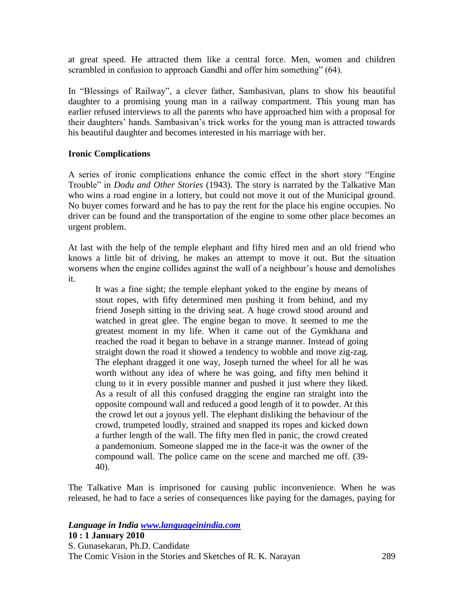at great speed. He attracted them like a central force. Men, women and children scrambled in confusion to approach Gandhi and offer him something" (64).

In "Blessings of Railway", a clever father, Sambasivan, plans to show his beautiful daughter to a promising young man in a railway compartment. This young man has earlier refused interviews to all the parents who have approached him with a proposal for their daughters' hands. Sambasivan's trick works for the young man is attracted towards his beautiful daughter and becomes interested in his marriage with her.

### **Ironic Complications**

A series of ironic complications enhance the comic effect in the short story "Engine" Trouble" in *Dodu and Other Stories* (1943). The story is narrated by the Talkative Man who wins a road engine in a lottery, but could not move it out of the Municipal ground. No buyer comes forward and he has to pay the rent for the place his engine occupies. No driver can be found and the transportation of the engine to some other place becomes an urgent problem.

At last with the help of the temple elephant and fifty hired men and an old friend who knows a little bit of driving, he makes an attempt to move it out. But the situation worsens when the engine collides against the wall of a neighbour's house and demolishes it.

It was a fine sight; the temple elephant yoked to the engine by means of stout ropes, with fifty determined men pushing it from behind, and my friend Joseph sitting in the driving seat. A huge crowd stood around and watched in great glee. The engine began to move. It seemed to me the greatest moment in my life. When it came out of the Gymkhana and reached the road it began to behave in a strange manner. Instead of going straight down the road it showed a tendency to wobble and move zig-zag. The elephant dragged it one way, Joseph turned the wheel for all he was worth without any idea of where he was going, and fifty men behind it clung to it in every possible manner and pushed it just where they liked. As a result of all this confused dragging the engine ran straight into the opposite compound wall and reduced a good length of it to powder. At this the crowd let out a joyous yell. The elephant disliking the behaviour of the crowd, trumpeted loudly, strained and snapped its ropes and kicked down a further length of the wall. The fifty men fled in panic, the crowd created a pandemonium. Someone slapped me in the face-it was the owner of the compound wall. The police came on the scene and marched me off. (39- 40).

The Talkative Man is imprisoned for causing public inconvenience. When he was released, he had to face a series of consequences like paying for the damages, paying for

### *Language in India www.languageinindia.com*

**10 : 1 January 2010** S. Gunasekaran, Ph.D. Candidate The Comic Vision in the Stories and Sketches of R. K. Narayan 289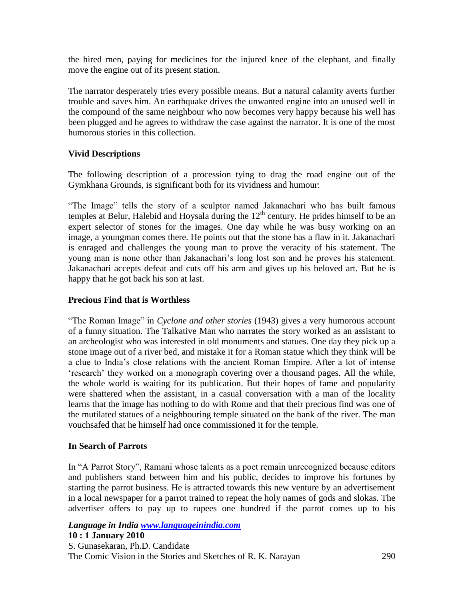the hired men, paying for medicines for the injured knee of the elephant, and finally move the engine out of its present station.

The narrator desperately tries every possible means. But a natural calamity averts further trouble and saves him. An earthquake drives the unwanted engine into an unused well in the compound of the same neighbour who now becomes very happy because his well has been plugged and he agrees to withdraw the case against the narrator. It is one of the most humorous stories in this collection.

### **Vivid Descriptions**

The following description of a procession tying to drag the road engine out of the Gymkhana Grounds, is significant both for its vividness and humour:

"The Image" tells the story of a sculptor named Jakanachari who has built famous temples at Belur, Halebid and Hoysala during the  $12<sup>th</sup>$  century. He prides himself to be an expert selector of stones for the images. One day while he was busy working on an image, a youngman comes there. He points out that the stone has a flaw in it. Jakanachari is enraged and challenges the young man to prove the veracity of his statement. The young man is none other than Jakanachari's long lost son and he proves his statement. Jakanachari accepts defeat and cuts off his arm and gives up his beloved art. But he is happy that he got back his son at last.

### **Precious Find that is Worthless**

"The Roman Image" in *Cyclone and other stories* (1943) gives a very humorous account of a funny situation. The Talkative Man who narrates the story worked as an assistant to an archeologist who was interested in old monuments and statues. One day they pick up a stone image out of a river bed, and mistake it for a Roman statue which they think will be a clue to India's close relations with the ancient Roman Empire. After a lot of intense ‗research' they worked on a monograph covering over a thousand pages. All the while, the whole world is waiting for its publication. But their hopes of fame and popularity were shattered when the assistant, in a casual conversation with a man of the locality learns that the image has nothing to do with Rome and that their precious find was one of the mutilated statues of a neighbouring temple situated on the bank of the river. The man vouchsafed that he himself had once commissioned it for the temple.

### **In Search of Parrots**

In "A Parrot Story", Ramani whose talents as a poet remain unrecognized because editors and publishers stand between him and his public, decides to improve his fortunes by starting the parrot business. He is attracted towards this new venture by an advertisement in a local newspaper for a parrot trained to repeat the holy names of gods and slokas. The advertiser offers to pay up to rupees one hundred if the parrot comes up to his

# *Language in India www.languageinindia.com* **10 : 1 January 2010**

S. Gunasekaran, Ph.D. Candidate The Comic Vision in the Stories and Sketches of R. K. Narayan 290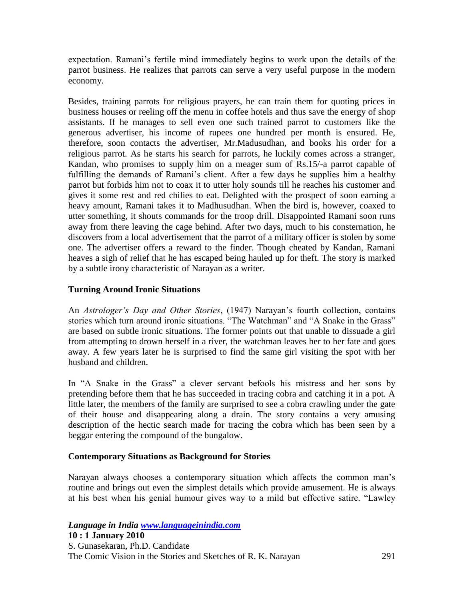expectation. Ramani's fertile mind immediately begins to work upon the details of the parrot business. He realizes that parrots can serve a very useful purpose in the modern economy.

Besides, training parrots for religious prayers, he can train them for quoting prices in business houses or reeling off the menu in coffee hotels and thus save the energy of shop assistants. If he manages to sell even one such trained parrot to customers like the generous advertiser, his income of rupees one hundred per month is ensured. He, therefore, soon contacts the advertiser, Mr.Madusudhan, and books his order for a religious parrot. As he starts his search for parrots, he luckily comes across a stranger, Kandan, who promises to supply him on a meager sum of Rs.15/-a parrot capable of fulfilling the demands of Ramani's client. After a few days he supplies him a healthy parrot but forbids him not to coax it to utter holy sounds till he reaches his customer and gives it some rest and red chilies to eat. Delighted with the prospect of soon earning a heavy amount, Ramani takes it to Madhusudhan. When the bird is, however, coaxed to utter something, it shouts commands for the troop drill. Disappointed Ramani soon runs away from there leaving the cage behind. After two days, much to his consternation, he discovers from a local advertisement that the parrot of a military officer is stolen by some one. The advertiser offers a reward to the finder. Though cheated by Kandan, Ramani heaves a sigh of relief that he has escaped being hauled up for theft. The story is marked by a subtle irony characteristic of Narayan as a writer.

### **Turning Around Ironic Situations**

An *Astrologer's Day and Other Stories*, (1947) Narayan's fourth collection, contains stories which turn around ironic situations. "The Watchman" and "A Snake in the Grass" are based on subtle ironic situations. The former points out that unable to dissuade a girl from attempting to drown herself in a river, the watchman leaves her to her fate and goes away. A few years later he is surprised to find the same girl visiting the spot with her husband and children.

In "A Snake in the Grass" a clever servant befools his mistress and her sons by pretending before them that he has succeeded in tracing cobra and catching it in a pot. A little later, the members of the family are surprised to see a cobra crawling under the gate of their house and disappearing along a drain. The story contains a very amusing description of the hectic search made for tracing the cobra which has been seen by a beggar entering the compound of the bungalow.

### **Contemporary Situations as Background for Stories**

Narayan always chooses a contemporary situation which affects the common man's routine and brings out even the simplest details which provide amusement. He is always at his best when his genial humour gives way to a mild but effective satire. "Lawley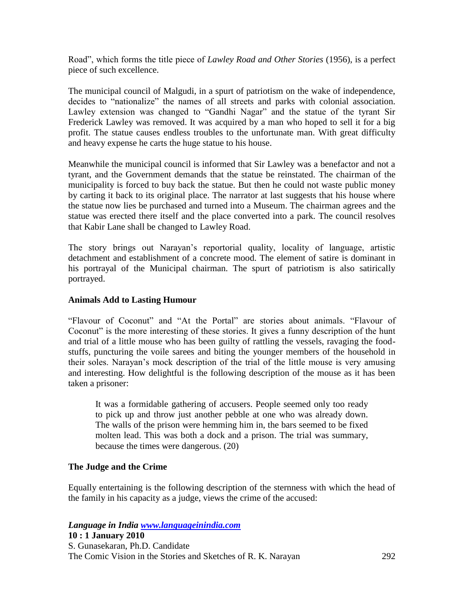Road‖, which forms the title piece of *Lawley Road and Other Stories* (1956), is a perfect piece of such excellence.

The municipal council of Malgudi, in a spurt of patriotism on the wake of independence, decides to "nationalize" the names of all streets and parks with colonial association. Lawley extension was changed to "Gandhi Nagar" and the statue of the tyrant Sir Frederick Lawley was removed. It was acquired by a man who hoped to sell it for a big profit. The statue causes endless troubles to the unfortunate man. With great difficulty and heavy expense he carts the huge statue to his house.

Meanwhile the municipal council is informed that Sir Lawley was a benefactor and not a tyrant, and the Government demands that the statue be reinstated. The chairman of the municipality is forced to buy back the statue. But then he could not waste public money by carting it back to its original place. The narrator at last suggests that his house where the statue now lies be purchased and turned into a Museum. The chairman agrees and the statue was erected there itself and the place converted into a park. The council resolves that Kabir Lane shall be changed to Lawley Road.

The story brings out Narayan's reportorial quality, locality of language, artistic detachment and establishment of a concrete mood. The element of satire is dominant in his portrayal of the Municipal chairman. The spurt of patriotism is also satirically portrayed.

### **Animals Add to Lasting Humour**

"Flavour of Coconut" and "At the Portal" are stories about animals. "Flavour of Coconut" is the more interesting of these stories. It gives a funny description of the hunt and trial of a little mouse who has been guilty of rattling the vessels, ravaging the foodstuffs, puncturing the voile sarees and biting the younger members of the household in their soles. Narayan's mock description of the trial of the little mouse is very amusing and interesting. How delightful is the following description of the mouse as it has been taken a prisoner:

It was a formidable gathering of accusers. People seemed only too ready to pick up and throw just another pebble at one who was already down. The walls of the prison were hemming him in, the bars seemed to be fixed molten lead. This was both a dock and a prison. The trial was summary, because the times were dangerous. (20)

### **The Judge and the Crime**

Equally entertaining is the following description of the sternness with which the head of the family in his capacity as a judge, views the crime of the accused:

### *Language in India www.languageinindia.com*

**10 : 1 January 2010** S. Gunasekaran, Ph.D. Candidate The Comic Vision in the Stories and Sketches of R. K. Narayan 292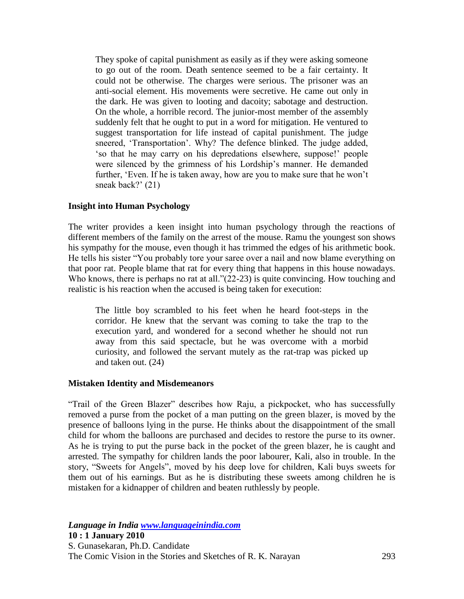They spoke of capital punishment as easily as if they were asking someone to go out of the room. Death sentence seemed to be a fair certainty. It could not be otherwise. The charges were serious. The prisoner was an anti-social element. His movements were secretive. He came out only in the dark. He was given to looting and dacoity; sabotage and destruction. On the whole, a horrible record. The junior-most member of the assembly suddenly felt that he ought to put in a word for mitigation. He ventured to suggest transportation for life instead of capital punishment. The judge sneered, 'Transportation'. Why? The defence blinked. The judge added, ‗so that he may carry on his depredations elsewhere, suppose!' people were silenced by the grimness of his Lordship's manner. He demanded further, 'Even. If he is taken away, how are you to make sure that he won't sneak back?' (21)

### **Insight into Human Psychology**

The writer provides a keen insight into human psychology through the reactions of different members of the family on the arrest of the mouse. Ramu the youngest son shows his sympathy for the mouse, even though it has trimmed the edges of his arithmetic book. He tells his sister "You probably tore your saree over a nail and now blame everything on that poor rat. People blame that rat for every thing that happens in this house nowadays. Who knows, there is perhaps no rat at all." $(22-23)$  is quite convincing. How touching and realistic is his reaction when the accused is being taken for execution:

The little boy scrambled to his feet when he heard foot-steps in the corridor. He knew that the servant was coming to take the trap to the execution yard, and wondered for a second whether he should not run away from this said spectacle, but he was overcome with a morbid curiosity, and followed the servant mutely as the rat-trap was picked up and taken out. (24)

### **Mistaken Identity and Misdemeanors**

"Trail of the Green Blazer" describes how Raju, a pickpocket, who has successfully removed a purse from the pocket of a man putting on the green blazer, is moved by the presence of balloons lying in the purse. He thinks about the disappointment of the small child for whom the balloons are purchased and decides to restore the purse to its owner. As he is trying to put the purse back in the pocket of the green blazer, he is caught and arrested. The sympathy for children lands the poor labourer, Kali, also in trouble. In the story, "Sweets for Angels", moved by his deep love for children, Kali buys sweets for them out of his earnings. But as he is distributing these sweets among children he is mistaken for a kidnapper of children and beaten ruthlessly by people.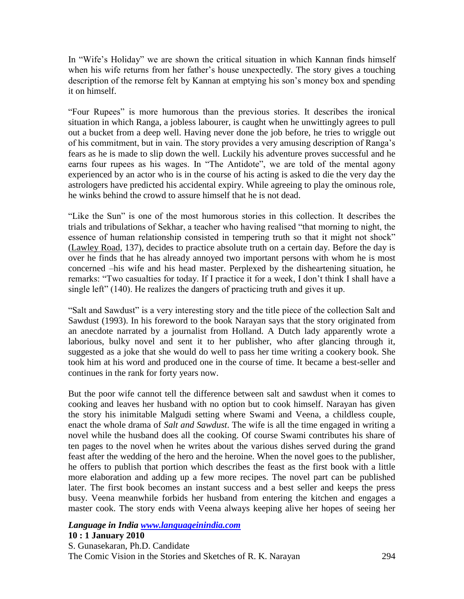In "Wife's Holiday" we are shown the critical situation in which Kannan finds himself when his wife returns from her father's house unexpectedly. The story gives a touching description of the remorse felt by Kannan at emptying his son's money box and spending it on himself.

"Four Rupees" is more humorous than the previous stories. It describes the ironical situation in which Ranga, a jobless labourer, is caught when he unwittingly agrees to pull out a bucket from a deep well. Having never done the job before, he tries to wriggle out of his commitment, but in vain. The story provides a very amusing description of Ranga's fears as he is made to slip down the well. Luckily his adventure proves successful and he earns four rupees as his wages. In "The Antidote", we are told of the mental agony experienced by an actor who is in the course of his acting is asked to die the very day the astrologers have predicted his accidental expiry. While agreeing to play the ominous role, he winks behind the crowd to assure himself that he is not dead.

"Like the Sun" is one of the most humorous stories in this collection. It describes the trials and tribulations of Sekhar, a teacher who having realised "that morning to night, the essence of human relationship consisted in tempering truth so that it might not shock" (Lawley Road, 137), decides to practice absolute truth on a certain day. Before the day is over he finds that he has already annoyed two important persons with whom he is most concerned –his wife and his head master. Perplexed by the disheartening situation, he remarks: "Two casualties for today. If I practice it for a week, I don't think I shall have a single left" (140). He realizes the dangers of practicing truth and gives it up.

―Salt and Sawdust‖ is a very interesting story and the title piece of the collection Salt and Sawdust (1993). In his foreword to the book Narayan says that the story originated from an anecdote narrated by a journalist from Holland. A Dutch lady apparently wrote a laborious, bulky novel and sent it to her publisher, who after glancing through it, suggested as a joke that she would do well to pass her time writing a cookery book. She took him at his word and produced one in the course of time. It became a best-seller and continues in the rank for forty years now.

But the poor wife cannot tell the difference between salt and sawdust when it comes to cooking and leaves her husband with no option but to cook himself. Narayan has given the story his inimitable Malgudi setting where Swami and Veena, a childless couple, enact the whole drama of *Salt and Sawdust*. The wife is all the time engaged in writing a novel while the husband does all the cooking. Of course Swami contributes his share of ten pages to the novel when he writes about the various dishes served during the grand feast after the wedding of the hero and the heroine. When the novel goes to the publisher, he offers to publish that portion which describes the feast as the first book with a little more elaboration and adding up a few more recipes. The novel part can be published later. The first book becomes an instant success and a best seller and keeps the press busy. Veena meanwhile forbids her husband from entering the kitchen and engages a master cook. The story ends with Veena always keeping alive her hopes of seeing her

## *Language in India www.languageinindia.com* **10 : 1 January 2010**

S. Gunasekaran, Ph.D. Candidate The Comic Vision in the Stories and Sketches of R. K. Narayan 294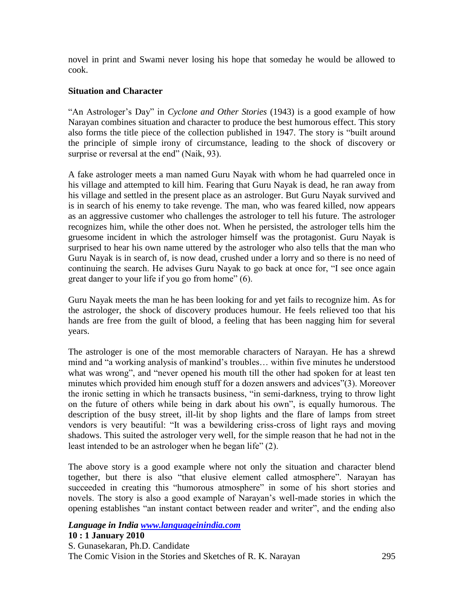novel in print and Swami never losing his hope that someday he would be allowed to cook.

### **Situation and Character**

"An Astrologer's Day" in *Cyclone and Other Stories* (1943) is a good example of how Narayan combines situation and character to produce the best humorous effect. This story also forms the title piece of the collection published in 1947. The story is "built around the principle of simple irony of circumstance, leading to the shock of discovery or surprise or reversal at the end" (Naik, 93).

A fake astrologer meets a man named Guru Nayak with whom he had quarreled once in his village and attempted to kill him. Fearing that Guru Nayak is dead, he ran away from his village and settled in the present place as an astrologer. But Guru Nayak survived and is in search of his enemy to take revenge. The man, who was feared killed, now appears as an aggressive customer who challenges the astrologer to tell his future. The astrologer recognizes him, while the other does not. When he persisted, the astrologer tells him the gruesome incident in which the astrologer himself was the protagonist. Guru Nayak is surprised to hear his own name uttered by the astrologer who also tells that the man who Guru Nayak is in search of, is now dead, crushed under a lorry and so there is no need of continuing the search. He advises Guru Nayak to go back at once for, "I see once again great danger to your life if you go from home"  $(6)$ .

Guru Nayak meets the man he has been looking for and yet fails to recognize him. As for the astrologer, the shock of discovery produces humour. He feels relieved too that his hands are free from the guilt of blood, a feeling that has been nagging him for several years.

The astrologer is one of the most memorable characters of Narayan. He has a shrewd mind and "a working analysis of mankind's troubles... within five minutes he understood what was wrong", and "never opened his mouth till the other had spoken for at least ten minutes which provided him enough stuff for a dozen answers and advices"(3). Moreover the ironic setting in which he transacts business, "in semi-darkness, trying to throw light on the future of others while being in dark about his own", is equally humorous. The description of the busy street, ill-lit by shop lights and the flare of lamps from street vendors is very beautiful: "It was a bewildering criss-cross of light rays and moving shadows. This suited the astrologer very well, for the simple reason that he had not in the least intended to be an astrologer when he began life" (2).

The above story is a good example where not only the situation and character blend together, but there is also "that elusive element called atmosphere". Narayan has succeeded in creating this "humorous atmosphere" in some of his short stories and novels. The story is also a good example of Narayan's well-made stories in which the opening establishes "an instant contact between reader and writer", and the ending also

*Language in India www.languageinindia.com* **10 : 1 January 2010** S. Gunasekaran, Ph.D. Candidate

The Comic Vision in the Stories and Sketches of R. K. Narayan 295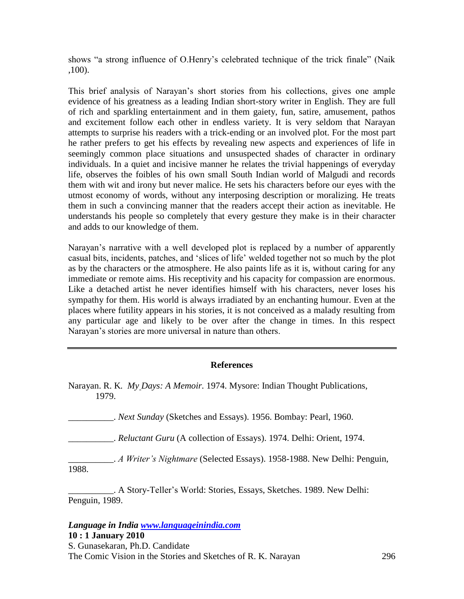shows "a strong influence of O.Henry's celebrated technique of the trick finale" (Naik ,100).

This brief analysis of Narayan's short stories from his collections, gives one ample evidence of his greatness as a leading Indian short-story writer in English. They are full of rich and sparkling entertainment and in them gaiety, fun, satire, amusement, pathos and excitement follow each other in endless variety. It is very seldom that Narayan attempts to surprise his readers with a trick-ending or an involved plot. For the most part he rather prefers to get his effects by revealing new aspects and experiences of life in seemingly common place situations and unsuspected shades of character in ordinary individuals. In a quiet and incisive manner he relates the trivial happenings of everyday life, observes the foibles of his own small South Indian world of Malgudi and records them with wit and irony but never malice. He sets his characters before our eyes with the utmost economy of words, without any interposing description or moralizing. He treats them in such a convincing manner that the readers accept their action as inevitable. He understands his people so completely that every gesture they make is in their character and adds to our knowledge of them.

Narayan's narrative with a well developed plot is replaced by a number of apparently casual bits, incidents, patches, and 'slices of life' welded together not so much by the plot as by the characters or the atmosphere. He also paints life as it is, without caring for any immediate or remote aims. His receptivity and his capacity for compassion are enormous. Like a detached artist he never identifies himself with his characters, never loses his sympathy for them. His world is always irradiated by an enchanting humour. Even at the places where futility appears in his stories, it is not conceived as a malady resulting from any particular age and likely to be over after the change in times. In this respect Narayan's stories are more universal in nature than others.

### **References**

|       |  | Narayan. R. K. My Days: A Memoir. 1974. Mysore: Indian Thought Publications, |
|-------|--|------------------------------------------------------------------------------|
| 1979. |  |                                                                              |

\_\_\_\_\_\_\_\_\_\_. *Next Sunday* (Sketches and Essays). 1956. Bombay: Pearl, 1960.

\_\_\_\_\_\_\_\_\_\_. *Reluctant Guru* (A collection of Essays). 1974. Delhi: Orient, 1974.

\_\_\_\_\_\_\_\_\_\_. *A Writer's Nightmare* (Selected Essays). 1958-1988. New Delhi: Penguin, 1988.

\_\_\_\_\_\_\_\_\_\_. A Story-Teller's World: Stories, Essays, Sketches. 1989. New Delhi: Penguin, 1989.